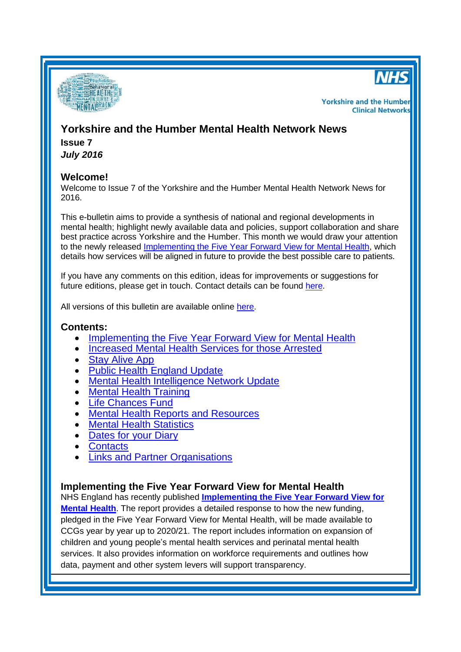



**Yorkshire and the Humber Clinical Networks** 

# **Yorkshire and the Humber Mental Health Network News Issue 7**

*July 2016*

# **Welcome!**

Welcome to Issue 7 of the Yorkshire and the Humber Mental Health Network News for 2016.

This e-bulletin aims to provide a synthesis of national and regional developments in mental health; highlight newly available data and policies, support collaboration and share best practice across Yorkshire and the Humber. This month we would draw your attention to the newly released [Implementing the Five Year Forward View for Mental Health,](#page-0-0) which details how services will be aligned in future to provide the best possible care to patients.

If you have any comments on this edition, ideas for improvements or suggestions for future editions, please get in touch. Contact details can be found [here.](#page-5-0)

All versions of this bulletin are available online [here.](http://www.yhscn.nhs.uk/mental-health-clinic/mental-health-network/MH-documents-and-links.php)

## **Contents:**

- [Implementing the Five Year Forward View for Mental Health](#page-0-0)
- [Increased Mental Health Services for those Arrested](#page-1-0)
- [Stay Alive App](#page-1-1)
- [Public Health England Update](#page-1-2)
- [Mental Health Intelligence Network Update](#page-1-3)
- [Mental Health Training](#page-2-0)
- [Life Chances Fund](#page-2-1)
- [Mental Health Reports](#page-2-2) and Resources
- **[Mental Health Statistics](#page-4-0)**
- [Dates for your](#page-4-1) Diary
- **[Contacts](#page-5-0)**
- [Links and Partner Organisations](#page-5-1)

# <span id="page-0-0"></span>**Implementing the Five Year Forward View for Mental Health**

NHS England has recently published **[Implementing the Five Year Forward View for](https://www.england.nhs.uk/2016/07/mh-imp/)  [Mental Health](https://www.england.nhs.uk/2016/07/mh-imp/)**. The report provides a detailed response to how the new funding, pledged in the Five Year Forward View for Mental Health, will be made available to CCGs year by year up to 2020/21. The report includes information on expansion of children and young people's mental health services and perinatal mental health services. It also provides information on workforce requirements and outlines how data, payment and other system levers will support transparency.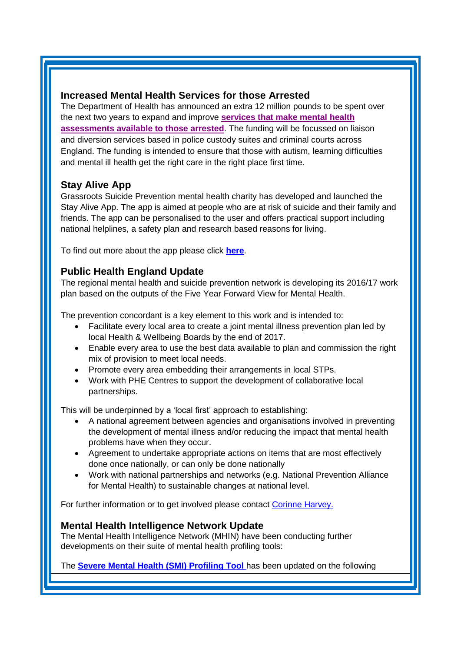## <span id="page-1-0"></span>**Increased Mental Health Services for those Arrested**

The Department of Health has announced an extra 12 million pounds to be spent over the next two years to expand and improve **[services that make mental health](https://www.gov.uk/government/news/increased-mental-health-services-for-those-arrested)  [assessments available to those arrested](https://www.gov.uk/government/news/increased-mental-health-services-for-those-arrested)**. The funding will be focussed on liaison and diversion services based in police custody suites and criminal courts across England. The funding is intended to ensure that those with autism, learning difficulties and mental ill health get the right care in the right place first time.

# <span id="page-1-1"></span>**Stay Alive App**

Grassroots Suicide Prevention mental health charity has developed and launched the Stay Alive App. The app is aimed at people who are at risk of suicide and their family and friends. The app can be personalised to the user and offers practical support including national helplines, a safety plan and research based reasons for living.

To find out more about the app please click **[here](http://www.crisiscareconcordat.org.uk/inspiration/staying-alive-grassroots-suicide-prevention-app/?utm_source=Mind&utm_medium=email&utm_campaign=7277226_CCC%20Newsletter%20June%202016&dm_i=CZC,4BZ56,HEHBL7,FVJQS,1)**.

# <span id="page-1-2"></span>**Public Health England Update**

The regional mental health and suicide prevention network is developing its 2016/17 work plan based on the outputs of the Five Year Forward View for Mental Health.

The prevention concordant is a key element to this work and is intended to:

- Facilitate every local area to create a joint mental illness prevention plan led by local Health & Wellbeing Boards by the end of 2017.
- Enable every area to use the best data available to plan and commission the right mix of provision to meet local needs.
- Promote every area embedding their arrangements in local STPs.
- Work with PHE Centres to support the development of collaborative local partnerships.

This will be underpinned by a 'local first' approach to establishing:

- A national agreement between agencies and organisations involved in preventing the development of mental illness and/or reducing the impact that mental health problems have when they occur.
- Agreement to undertake appropriate actions on items that are most effectively done once nationally, or can only be done nationally
- Work with national partnerships and networks (e.g. National Prevention Alliance for Mental Health) to sustainable changes at national level.

For further information or to get involved please contact [Corinne Harvey.](mailto:corinne.harvey@phe.gov.uk)

# <span id="page-1-3"></span>**Mental Health Intelligence Network Update**

The Mental Health Intelligence Network (MHIN) have been conducting further developments on their suite of mental health profiling tools:

The **[Severe Mental Health \(SMI\) Profiling Tool](http://fingertips.phe.org.uk/profile-group/mental-health/profile/severe-mental-illness)** has been updated on the following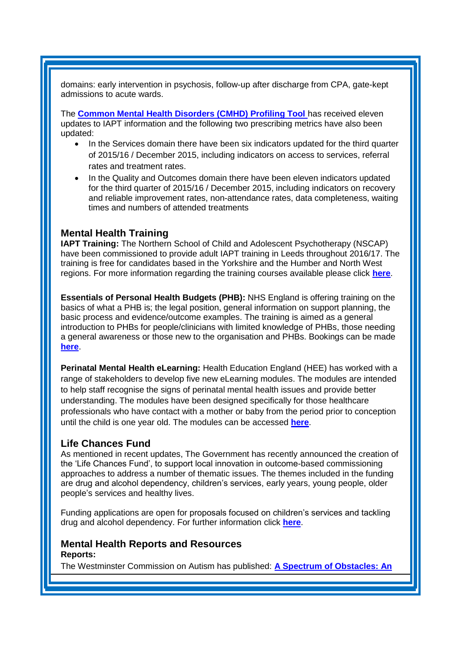domains: early intervention in psychosis, follow-up after discharge from CPA, gate-kept admissions to acute wards.

The **[Common Mental Health Disorders \(CMHD\) Profiling Tool](http://fingertips.phe.org.uk/profile-group/mental-health/profile/common-mental-disorders)** has received eleven updates to IAPT information and the following two prescribing metrics have also been updated:

- In the Services domain there have been six indicators updated for the third quarter of 2015/16 / December 2015, including indicators on access to services, referral rates and treatment rates.
- In the Quality and Outcomes domain there have been eleven indicators updated for the third quarter of 2015/16 / December 2015, including indicators on recovery and reliable improvement rates, non-attendance rates, data completeness, waiting times and numbers of attended treatments

#### <span id="page-2-0"></span>**Mental Health Training**

**IAPT Training:** The Northern School of Child and Adolescent Psychotherapy (NSCAP) have been commissioned to provide adult IAPT training in Leeds throughout 2016/17. The training is free for candidates based in the Yorkshire and the Humber and North West regions. For more information regarding the training courses available please click **[here](http://www.nwppn.nhs.uk/index.php/component/content/article/16-news/1374-adult-iapt-trainings-2016-17)**.

**Essentials of Personal Health Budgets (PHB):** NHS England is offering training on the basics of what a PHB is; the legal position, general information on support planning, the basic process and evidence/outcome examples. The training is aimed as a general introduction to PHBs for people/clinicians with limited knowledge of PHBs, those needing a general awareness or those new to the organisation and PHBs. Bookings can be made **[here](https://www.events.england.nhs.uk/nhsengland/frontend/reg/thome.csp?pageID=45474&eventID=205&traceRedir=2&eventID=205)**.

**Perinatal Mental Health eLearning:** Health Education England (HEE) has worked with a range of stakeholders to develop five new eLearning modules. The modules are intended to help staff recognise the signs of perinatal mental health issues and provide better understanding. The modules have been designed specifically for those healthcare professionals who have contact with a mother or baby from the period prior to conception until the child is one year old. The modules can be accessed **[here](http://www.e-lfh.org.uk/programmes/perinatal-mental-health/)**.

### <span id="page-2-1"></span>**Life Chances Fund**

As mentioned in recent updates, The Government has recently announced the creation of the 'Life Chances Fund', to support local innovation in outcome-based commissioning approaches to address a number of thematic issues. The themes included in the funding are drug and alcohol dependency, children's services, early years, young people, older people's services and healthy lives.

Funding applications are open for proposals focused on children's services and tackling drug and alcohol dependency. For further information click **[here](https://www.gov.uk/government/news/80-million-boost-for-life-chances-fund-to-transform-lives-across-the-uk)**.

### <span id="page-2-2"></span>**Mental Health Reports and Resources Reports:**

The Westminster Commission on Autism has published: **[A Spectrum of Obstacles: An](https://westminsterautismcommission.wordpress.com/)**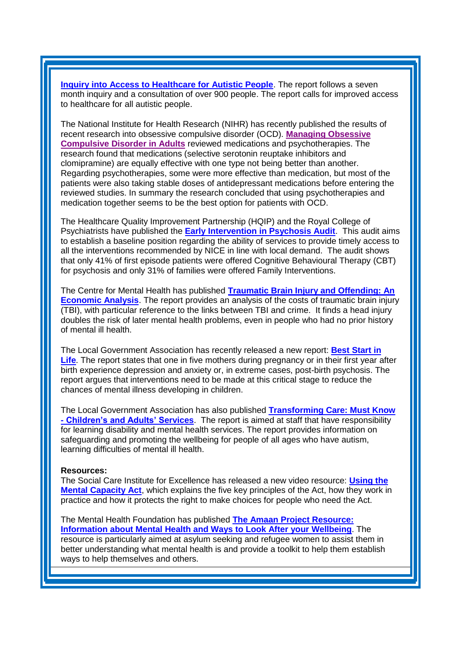**[Inquiry into Access to Healthcare for Autistic People](https://westminsterautismcommission.wordpress.com/)**. The report follows a seven month inquiry and a consultation of over 900 people. The report calls for improved access to healthcare for all autistic people.

The National Institute for Health Research (NIHR) has recently published the results of recent research into obsessive compulsive disorder (OCD). **[Managing Obsessive](http://www.nets.nihr.ac.uk/news/all/2016/managing-obsessive-compulsive-disorder-in-adults)  Compulsive [Disorder in Adults](http://www.nets.nihr.ac.uk/news/all/2016/managing-obsessive-compulsive-disorder-in-adults)** reviewed medications and psychotherapies. The research found that medications (selective serotonin reuptake inhibitors and clomipramine) are equally effective with one type not being better than another. Regarding psychotherapies, some were more effective than medication, but most of the patients were also taking stable doses of antidepressant medications before entering the reviewed studies. In summary the research concluded that using psychotherapies and medication together seems to be the best option for patients with OCD.

The Healthcare Quality Improvement Partnership (HQIP) and the Royal College of Psychiatrists have published the **[Early Intervention in Psychosis Audit](http://www.hqip.org.uk/resources/report-of-the-early-intervention-in-psychosis-audit/)**. This audit aims to establish a baseline position regarding the ability of services to provide timely access to all the interventions recommended by NICE in line with local demand. The audit shows that only 41% of first episode patients were offered Cognitive Behavioural Therapy (CBT) for psychosis and only 31% of families were offered Family Interventions.

The Centre for Mental Health has published **[Traumatic Brain Injury and Offending: An](https://www.centreformentalhealth.org.uk/traumatic-brain-injury)  [Economic Analysis](https://www.centreformentalhealth.org.uk/traumatic-brain-injury)**. The report provides an analysis of the costs of traumatic brain injury (TBI), with particular reference to the links between TBI and crime. It finds a head injury doubles the risk of later mental health problems, even in people who had no prior history of mental ill health.

The Local Government Association has recently released a new report: **[Best Start in](http://www.local.gov.uk/web/guest/media-releases/-/journal_content/56/10180/7885952/NEWS)  [Life](http://www.local.gov.uk/web/guest/media-releases/-/journal_content/56/10180/7885952/NEWS)**. The report states that one in five mothers during pregnancy or in their first year after birth experience depression and anxiety or, in extreme cases, post-birth psychosis. The report argues that interventions need to be made at this critical stage to reduce the chances of mental illness developing in children.

The Local Government Association has also published **[Transforming Care: Must Know](http://www.local.gov.uk/web/guest/publications/-/journal_content/56/10180/7907476/PUBLICATION)  - [Children's and Adults' Services](http://www.local.gov.uk/web/guest/publications/-/journal_content/56/10180/7907476/PUBLICATION)**. The report is aimed at staff that have responsibility for learning disability and mental health services. The report provides information on safeguarding and promoting the wellbeing for people of all ages who have autism, learning difficulties of mental ill health.

#### **Resources:**

The Social Care Institute for Excellence has released a new video resource: **[Using the](http://www.scie.org.uk/mca/introduction/using-mental-capacity-act)  [Mental Capacity Act](http://www.scie.org.uk/mca/introduction/using-mental-capacity-act)**, which explains the five key principles of the Act, how they work in practice and how it protects the right to make choices for people who need the Act.

The Mental Health Foundation has published **[The Amaan Project Resource:](http://www.mentalhealth.org.uk/publications/amaan-project-resource-information-about-mental-health-and-ways-look-after-your)  [Information about Mental Health and Ways to Look After your Wellbeing](http://www.mentalhealth.org.uk/publications/amaan-project-resource-information-about-mental-health-and-ways-look-after-your)**. The resource is particularly aimed at asylum seeking and refugee women to assist them in better understanding what mental health is and provide a toolkit to help them establish ways to help themselves and others.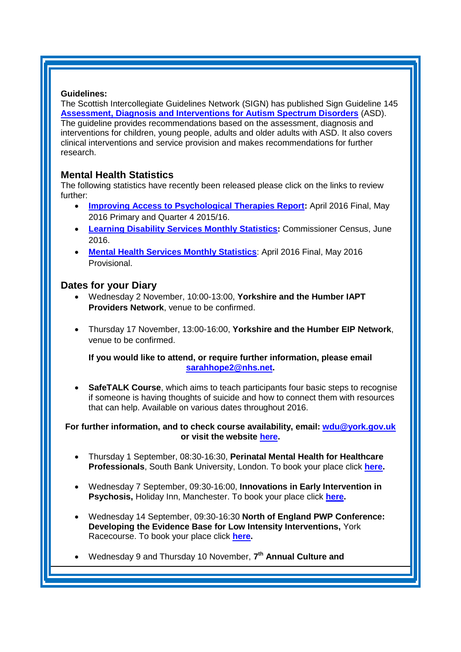#### **Guidelines:**

The Scottish Intercollegiate Guidelines Network (SIGN) has published Sign Guideline 145 **Assessment, Diagnosis [and Interventions for Autism Spectrum Disorders](http://www.sign.ac.uk/guidelines/fulltext/145/index.html)** (ASD). The guideline provides recommendations based on the assessment, diagnosis and interventions for children, young people, adults and older adults with ASD. It also covers clinical interventions and service provision and makes recommendations for further research.

### <span id="page-4-0"></span>**Mental Health Statistics**

The following statistics have recently been released please click on the links to review further:

- **[Improving Access to Psychological Therapies Report:](http://www.hscic.gov.uk/catalogue/PUB21229)** April 2016 Final, May 2016 Primary and Quarter 4 2015/16[.](http://www.hscic.gov.uk/catalogue/PUB20526)
- **[Learning Disability Services Monthly Statistics:](http://www.hscic.gov.uk/catalogue/PUB20526)** Commissioner Census, June [2016.](http://www.hscic.gov.uk/catalogue/PUB20526)
- **[Mental Health Services Monthly Statistics](http://www.hscic.gov.uk/catalogue/PUB20526)**: April 2016 Final, May 2016 [Provisional.](http://www.hscic.gov.uk/catalogue/PUB20526)

#### <span id="page-4-1"></span>**Dates for your Diary**

- Wednesday 2 November, 10:00-13:00, **Yorkshire and the Humber IAPT Providers Network**, venue to be confirmed.
- Thursday 17 November, 13:00-16:00, **Yorkshire and the Humber EIP Network**, venue to be confirmed.

**If you would like to attend, or require further information, please email [sarahhope2@nhs.net.](mailto:sarahhope2@nhs.net)**

 **SafeTALK Course**, which aims to teach participants four basic steps to recognise if someone is having thoughts of suicide and how to connect them with resources that can help. Available on various dates throughout 2016.

#### **For further information, and to check course availability, email: [wdu@york.gov.uk](mailto:wdu@york.gov.uk) or visit the website [here.](http://www.yorkworkforcedevelopment.org.uk/)**

- Thursday 1 September, 08:30-16:30, **Perinatal Mental Health for Healthcare Professionals**, South Bank University, London. To book your place click **[here.](https://www.eventbrite.co.uk/e/perinatal-mental-health-for-healthcare-professionals-tickets-26073083294?aff=es2)**
- Wednesday 7 September, 09:30-16:00, **Innovations in Early Intervention in Psychosis,** Holiday Inn, Manchester. To book your place click **[here.](http://www.sbk-healthcare.co.uk/Home/Title/2150/Innovations-in-Early-Intervention-in-Psychosis)**
- Wednesday 14 September, 09:30-16:30 **North of England PWP Conference: Developing the Evidence Base for Low Intensity Interventions,** York Racecourse. To book your place click **[here.](http://www.nwppn.nhs.uk/index.php/events/14-09-16-north-of-england-pwp-conference)**
- Wednesday 9 and Thursday 10 November, **7 th Annual Culture and**